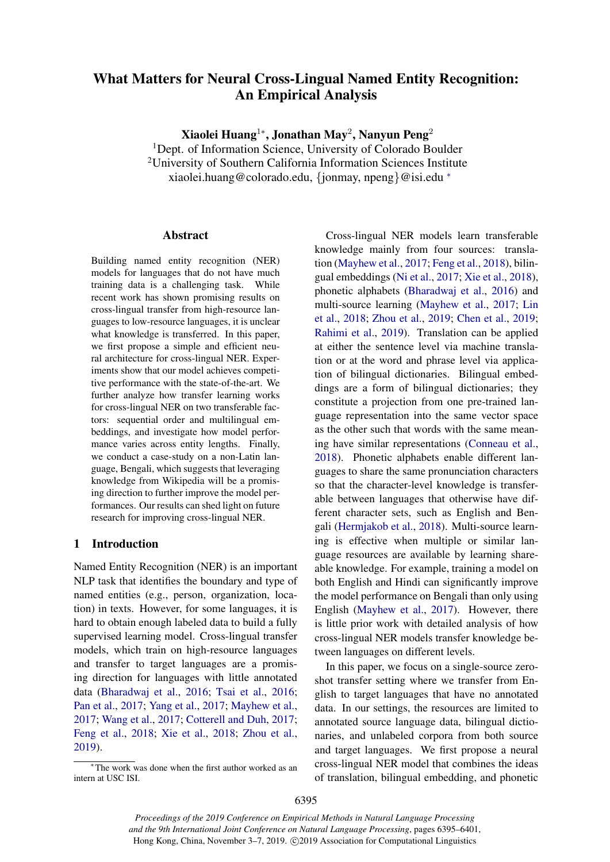# What Matters for Neural Cross-Lingual Named Entity Recognition: An Empirical Analysis

Xiaolei Huang $^{1*}$ , Jonathan May $^2$ , Nanyun Peng $^2$ 

<sup>1</sup>Dept. of Information Science, University of Colorado Boulder <sup>2</sup>University of Southern California Information Sciences Institute xiaolei.huang@colorado.edu, {jonmay, npeng}@isi.edu <sup>∗</sup>

#### Abstract

Building named entity recognition (NER) models for languages that do not have much training data is a challenging task. While recent work has shown promising results on cross-lingual transfer from high-resource languages to low-resource languages, it is unclear what knowledge is transferred. In this paper, we first propose a simple and efficient neural architecture for cross-lingual NER. Experiments show that our model achieves competitive performance with the state-of-the-art. We further analyze how transfer learning works for cross-lingual NER on two transferable factors: sequential order and multilingual embeddings, and investigate how model performance varies across entity lengths. Finally, we conduct a case-study on a non-Latin language, Bengali, which suggests that leveraging knowledge from Wikipedia will be a promising direction to further improve the model performances. Our results can shed light on future research for improving cross-lingual NER.

# 1 Introduction

Named Entity Recognition (NER) is an important NLP task that identifies the boundary and type of named entities (e.g., person, organization, location) in texts. However, for some languages, it is hard to obtain enough labeled data to build a fully supervised learning model. Cross-lingual transfer models, which train on high-resource languages and transfer to target languages are a promising direction for languages with little annotated data [\(Bharadwaj et al.,](#page-5-0) [2016;](#page-5-0) [Tsai et al.,](#page-6-0) [2016;](#page-6-0) [Pan et al.,](#page-5-1) [2017;](#page-5-1) [Yang et al.,](#page-6-1) [2017;](#page-6-1) [Mayhew et al.,](#page-5-2) [2017;](#page-5-2) [Wang et al.,](#page-6-2) [2017;](#page-6-2) [Cotterell and Duh,](#page-5-3) [2017;](#page-5-3) [Feng et al.,](#page-5-4) [2018;](#page-5-4) [Xie et al.,](#page-6-3) [2018;](#page-6-3) [Zhou et al.,](#page-6-4) [2019\)](#page-6-4).

Cross-lingual NER models learn transferable knowledge mainly from four sources: translation [\(Mayhew et al.,](#page-5-2) [2017;](#page-5-2) [Feng et al.,](#page-5-4) [2018\)](#page-5-4), bilingual embeddings [\(Ni et al.,](#page-5-5) [2017;](#page-5-5) [Xie et al.,](#page-6-3) [2018\)](#page-6-3), phonetic alphabets [\(Bharadwaj et al.,](#page-5-0) [2016\)](#page-5-0) and multi-source learning [\(Mayhew et al.,](#page-5-2) [2017;](#page-5-2) [Lin](#page-5-6) [et al.,](#page-5-6) [2018;](#page-5-6) [Zhou et al.,](#page-6-4) [2019;](#page-6-4) [Chen et al.,](#page-5-7) [2019;](#page-5-7) [Rahimi et al.,](#page-5-8) [2019\)](#page-5-8). Translation can be applied at either the sentence level via machine translation or at the word and phrase level via application of bilingual dictionaries. Bilingual embeddings are a form of bilingual dictionaries; they constitute a projection from one pre-trained language representation into the same vector space as the other such that words with the same meaning have similar representations [\(Conneau et al.,](#page-5-9) [2018\)](#page-5-9). Phonetic alphabets enable different languages to share the same pronunciation characters so that the character-level knowledge is transferable between languages that otherwise have different character sets, such as English and Bengali [\(Hermjakob et al.,](#page-5-10) [2018\)](#page-5-10). Multi-source learning is effective when multiple or similar language resources are available by learning shareable knowledge. For example, training a model on both English and Hindi can significantly improve the model performance on Bengali than only using English [\(Mayhew et al.,](#page-5-2) [2017\)](#page-5-2). However, there is little prior work with detailed analysis of how cross-lingual NER models transfer knowledge between languages on different levels.

In this paper, we focus on a single-source zeroshot transfer setting where we transfer from English to target languages that have no annotated data. In our settings, the resources are limited to annotated source language data, bilingual dictionaries, and unlabeled corpora from both source and target languages. We first propose a neural cross-lingual NER model that combines the ideas of translation, bilingual embedding, and phonetic

<sup>∗</sup> The work was done when the first author worked as an intern at USC ISI.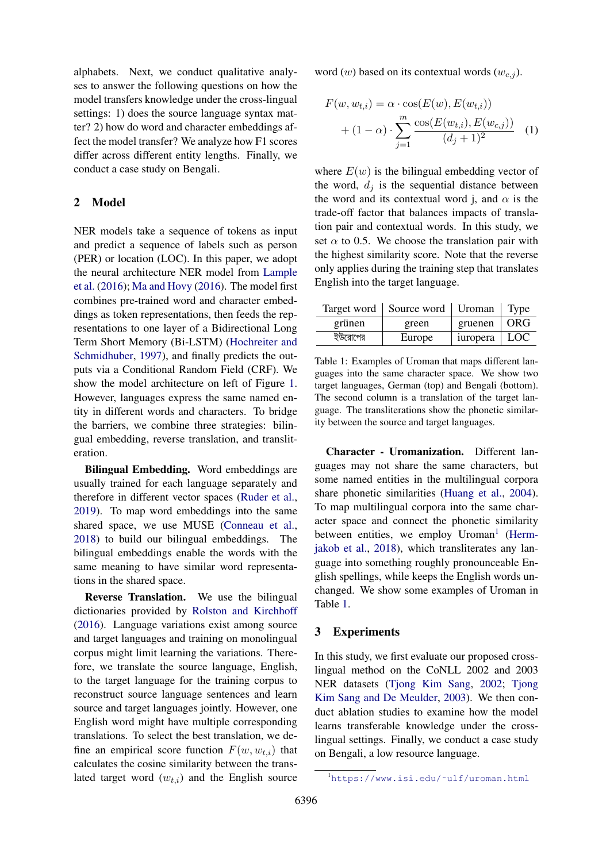alphabets. Next, we conduct qualitative analyses to answer the following questions on how the model transfers knowledge under the cross-lingual settings: 1) does the source language syntax matter? 2) how do word and character embeddings affect the model transfer? We analyze how F1 scores differ across different entity lengths. Finally, we conduct a case study on Bengali.

## <span id="page-1-2"></span>2 Model

NER models take a sequence of tokens as input and predict a sequence of labels such as person (PER) or location (LOC). In this paper, we adopt the neural architecture NER model from [Lample](#page-5-11) [et al.](#page-5-11) [\(2016\)](#page-5-11); [Ma and Hovy](#page-5-12) [\(2016\)](#page-5-12). The model first combines pre-trained word and character embeddings as token representations, then feeds the representations to one layer of a Bidirectional Long Term Short Memory (Bi-LSTM) [\(Hochreiter and](#page-5-13) [Schmidhuber,](#page-5-13) [1997\)](#page-5-13), and finally predicts the outputs via a Conditional Random Field (CRF). We show the model architecture on left of Figure [1.](#page-2-0) However, languages express the same named entity in different words and characters. To bridge the barriers, we combine three strategies: bilingual embedding, reverse translation, and transliteration.

Bilingual Embedding. Word embeddings are usually trained for each language separately and therefore in different vector spaces [\(Ruder et al.,](#page-6-5) [2019\)](#page-6-5). To map word embeddings into the same shared space, we use MUSE [\(Conneau et al.,](#page-5-9) [2018\)](#page-5-9) to build our bilingual embeddings. The bilingual embeddings enable the words with the same meaning to have similar word representations in the shared space.

Reverse Translation. We use the bilingual dictionaries provided by [Rolston and Kirchhoff](#page-6-6) [\(2016\)](#page-6-6). Language variations exist among source and target languages and training on monolingual corpus might limit learning the variations. Therefore, we translate the source language, English, to the target language for the training corpus to reconstruct source language sentences and learn source and target languages jointly. However, one English word might have multiple corresponding translations. To select the best translation, we define an empirical score function  $F(w, w_{t,i})$  that calculates the cosine similarity between the translated target word  $(w_{t,i})$  and the English source

word  $(w)$  based on its contextual words  $(w_{c,j})$ .

$$
F(w, w_{t,i}) = \alpha \cdot \cos(E(w), E(w_{t,i})) + (1 - \alpha) \cdot \sum_{j=1}^{m} \frac{\cos(E(w_{t,i}), E(w_{c,j}))}{(d_j + 1)^2}
$$
 (1)

where  $E(w)$  is the bilingual embedding vector of the word,  $d_i$  is the sequential distance between the word and its contextual word j, and  $\alpha$  is the trade-off factor that balances impacts of translation pair and contextual words. In this study, we set  $\alpha$  to 0.5. We choose the translation pair with the highest similarity score. Note that the reverse only applies during the training step that translates English into the target language.

<span id="page-1-1"></span>

|         | Target word   Source word   Uroman |                     | Type       |
|---------|------------------------------------|---------------------|------------|
| grünen  | green                              | gruenen $\vert$ ORG |            |
| ইউরোপের | Europe                             | iuropera            | <b>LOC</b> |

Table 1: Examples of Uroman that maps different languages into the same character space. We show two target languages, German (top) and Bengali (bottom). The second column is a translation of the target language. The transliterations show the phonetic similarity between the source and target languages.

Character - Uromanization. Different languages may not share the same characters, but some named entities in the multilingual corpora share phonetic similarities [\(Huang et al.,](#page-5-14) [2004\)](#page-5-14). To map multilingual corpora into the same character space and connect the phonetic similarity between entities, we employ Uroman<sup>[1](#page-1-0)</sup> [\(Herm](#page-5-10)[jakob et al.,](#page-5-10) [2018\)](#page-5-10), which transliterates any language into something roughly pronounceable English spellings, while keeps the English words unchanged. We show some examples of Uroman in Table [1.](#page-1-1)

## 3 Experiments

In this study, we first evaluate our proposed crosslingual method on the CoNLL 2002 and 2003 NER datasets [\(Tjong Kim Sang,](#page-6-7) [2002;](#page-6-7) [Tjong](#page-6-8) [Kim Sang and De Meulder,](#page-6-8) [2003\)](#page-6-8). We then conduct ablation studies to examine how the model learns transferable knowledge under the crosslingual settings. Finally, we conduct a case study on Bengali, a low resource language.

<span id="page-1-0"></span><sup>1</sup>[https://www.isi.edu/˜ulf/uroman.html](https://www.isi.edu/~ulf/uroman.html)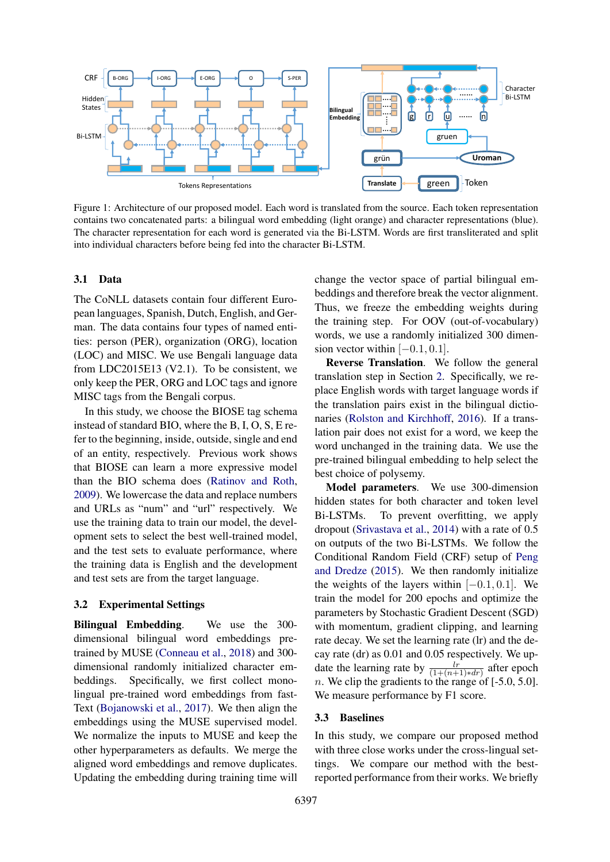<span id="page-2-0"></span>

Figure 1: Architecture of our proposed model. Each word is translated from the source. Each token representation contains two concatenated parts: a bilingual word embedding (light orange) and character representations (blue). The character representation for each word is generated via the Bi-LSTM. Words are first transliterated and split into individual characters before being fed into the character Bi-LSTM.

#### 3.1 Data

The CoNLL datasets contain four different European languages, Spanish, Dutch, English, and German. The data contains four types of named entities: person (PER), organization (ORG), location (LOC) and MISC. We use Bengali language data from LDC2015E13 (V2.1). To be consistent, we only keep the PER, ORG and LOC tags and ignore MISC tags from the Bengali corpus.

In this study, we choose the BIOSE tag schema instead of standard BIO, where the B, I, O, S, E refer to the beginning, inside, outside, single and end of an entity, respectively. Previous work shows that BIOSE can learn a more expressive model than the BIO schema does [\(Ratinov and Roth,](#page-6-9) [2009\)](#page-6-9). We lowercase the data and replace numbers and URLs as "num" and "url" respectively. We use the training data to train our model, the development sets to select the best well-trained model, and the test sets to evaluate performance, where the training data is English and the development and test sets are from the target language.

#### 3.2 Experimental Settings

Bilingual Embedding. We use the 300 dimensional bilingual word embeddings pretrained by MUSE [\(Conneau et al.,](#page-5-9) [2018\)](#page-5-9) and 300 dimensional randomly initialized character embeddings. Specifically, we first collect monolingual pre-trained word embeddings from fast-Text [\(Bojanowski et al.,](#page-5-15) [2017\)](#page-5-15). We then align the embeddings using the MUSE supervised model. We normalize the inputs to MUSE and keep the other hyperparameters as defaults. We merge the aligned word embeddings and remove duplicates. Updating the embedding during training time will

change the vector space of partial bilingual embeddings and therefore break the vector alignment. Thus, we freeze the embedding weights during the training step. For OOV (out-of-vocabulary) words, we use a randomly initialized 300 dimension vector within  $[-0.1, 0.1]$ .

Reverse Translation. We follow the general translation step in Section [2.](#page-1-2) Specifically, we replace English words with target language words if the translation pairs exist in the bilingual dictionaries [\(Rolston and Kirchhoff,](#page-6-6) [2016\)](#page-6-6). If a translation pair does not exist for a word, we keep the word unchanged in the training data. We use the pre-trained bilingual embedding to help select the best choice of polysemy.

Model parameters. We use 300-dimension hidden states for both character and token level Bi-LSTMs. To prevent overfitting, we apply dropout [\(Srivastava et al.,](#page-6-10) [2014\)](#page-6-10) with a rate of 0.5 on outputs of the two Bi-LSTMs. We follow the Conditional Random Field (CRF) setup of [Peng](#page-5-16) [and Dredze](#page-5-16) [\(2015\)](#page-5-16). We then randomly initialize the weights of the layers within  $[-0.1, 0.1]$ . We train the model for 200 epochs and optimize the parameters by Stochastic Gradient Descent (SGD) with momentum, gradient clipping, and learning rate decay. We set the learning rate (lr) and the decay rate (dr) as 0.01 and 0.05 respectively. We update the learning rate by  $\frac{lr}{(1+(n+1)*dr)}$  after epoch n. We clip the gradients to the range of  $[-5.0, 5.0]$ . We measure performance by F1 score.

#### 3.3 Baselines

In this study, we compare our proposed method with three close works under the cross-lingual settings. We compare our method with the bestreported performance from their works. We briefly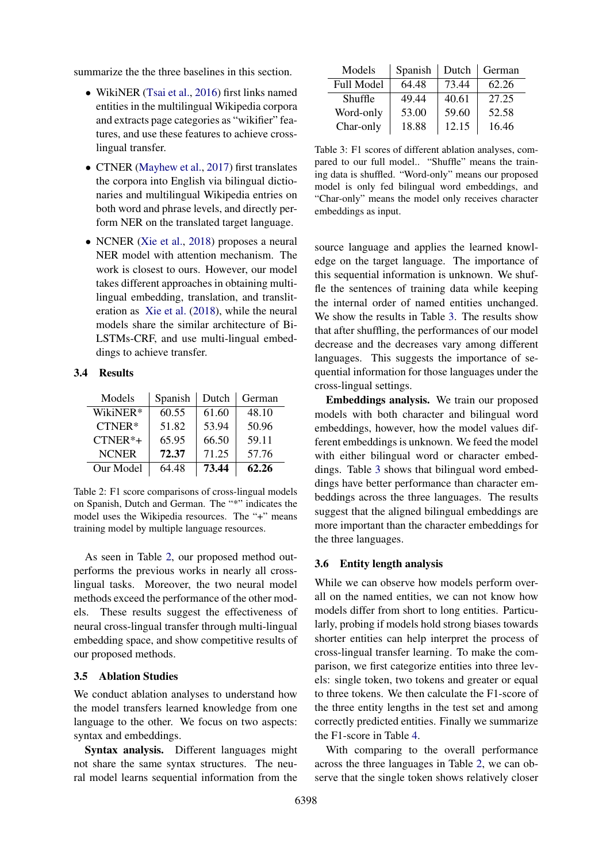summarize the the three baselines in this section.

- WikiNER [\(Tsai et al.,](#page-6-0) [2016\)](#page-6-0) first links named entities in the multilingual Wikipedia corpora and extracts page categories as "wikifier" features, and use these features to achieve crosslingual transfer.
- CTNER [\(Mayhew et al.,](#page-5-2) [2017\)](#page-5-2) first translates the corpora into English via bilingual dictionaries and multilingual Wikipedia entries on both word and phrase levels, and directly perform NER on the translated target language.
- NCNER [\(Xie et al.,](#page-6-3) [2018\)](#page-6-3) proposes a neural NER model with attention mechanism. The work is closest to ours. However, our model takes different approaches in obtaining multilingual embedding, translation, and transliteration as [Xie et al.](#page-6-3) [\(2018\)](#page-6-3), while the neural models share the similar architecture of Bi-LSTMs-CRF, and use multi-lingual embeddings to achieve transfer.

#### 3.4 Results

<span id="page-3-0"></span>

| Models       | Spanish | Dutch | German |
|--------------|---------|-------|--------|
| WikiNER*     | 60.55   | 61.60 | 48.10  |
| $CTNER*$     | 51.82   | 53.94 | 50.96  |
| $CTNER*+$    | 65.95   | 66.50 | 59.11  |
| <b>NCNER</b> | 72.37   | 71.25 | 57.76  |
| Our Model    | 64.48   | 73.44 | 62.26  |

Table 2: F1 score comparisons of cross-lingual models on Spanish, Dutch and German. The "\*" indicates the model uses the Wikipedia resources. The "+" means training model by multiple language resources.

As seen in Table [2,](#page-3-0) our proposed method outperforms the previous works in nearly all crosslingual tasks. Moreover, the two neural model methods exceed the performance of the other models. These results suggest the effectiveness of neural cross-lingual transfer through multi-lingual embedding space, and show competitive results of our proposed methods.

#### 3.5 Ablation Studies

We conduct ablation analyses to understand how the model transfers learned knowledge from one language to the other. We focus on two aspects: syntax and embeddings.

Syntax analysis. Different languages might not share the same syntax structures. The neural model learns sequential information from the

<span id="page-3-1"></span>

| Models            | Spanish | Dutch | German |
|-------------------|---------|-------|--------|
| <b>Full Model</b> | 64.48   | 73.44 | 62.26  |
| Shuffle           | 49.44   | 40.61 | 27.25  |
| Word-only         | 53.00   | 59.60 | 52.58  |
| Char-only         | 18.88   | 12.15 | 16.46  |

Table 3: F1 scores of different ablation analyses, compared to our full model.. "Shuffle" means the training data is shuffled. "Word-only" means our proposed model is only fed bilingual word embeddings, and "Char-only" means the model only receives character embeddings as input.

source language and applies the learned knowledge on the target language. The importance of this sequential information is unknown. We shuffle the sentences of training data while keeping the internal order of named entities unchanged. We show the results in Table [3.](#page-3-1) The results show that after shuffling, the performances of our model decrease and the decreases vary among different languages. This suggests the importance of sequential information for those languages under the cross-lingual settings.

Embeddings analysis. We train our proposed models with both character and bilingual word embeddings, however, how the model values different embeddings is unknown. We feed the model with either bilingual word or character embeddings. Table [3](#page-3-1) shows that bilingual word embeddings have better performance than character embeddings across the three languages. The results suggest that the aligned bilingual embeddings are more important than the character embeddings for the three languages.

#### 3.6 Entity length analysis

While we can observe how models perform overall on the named entities, we can not know how models differ from short to long entities. Particularly, probing if models hold strong biases towards shorter entities can help interpret the process of cross-lingual transfer learning. To make the comparison, we first categorize entities into three levels: single token, two tokens and greater or equal to three tokens. We then calculate the F1-score of the three entity lengths in the test set and among correctly predicted entities. Finally we summarize the F1-score in Table [4.](#page-4-0)

With comparing to the overall performance across the three languages in Table [2,](#page-3-0) we can observe that the single token shows relatively closer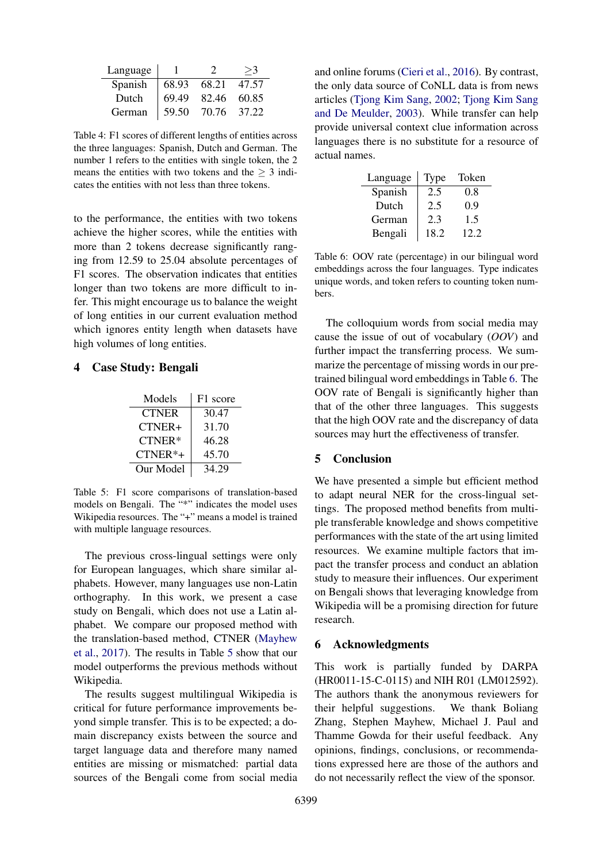<span id="page-4-0"></span>

| Language |       |       |       |
|----------|-------|-------|-------|
| Spanish  | 68.93 | 68.21 | 47.57 |
| Dutch    | 69.49 | 82.46 | 60.85 |
| German   | 59.50 | 70.76 | 37.22 |

Table 4: F1 scores of different lengths of entities across the three languages: Spanish, Dutch and German. The number 1 refers to the entities with single token, the 2 means the entities with two tokens and the  $> 3$  indicates the entities with not less than three tokens.

to the performance, the entities with two tokens achieve the higher scores, while the entities with more than 2 tokens decrease significantly ranging from 12.59 to 25.04 absolute percentages of F1 scores. The observation indicates that entities longer than two tokens are more difficult to infer. This might encourage us to balance the weight of long entities in our current evaluation method which ignores entity length when datasets have high volumes of long entities.

### <span id="page-4-1"></span>4 Case Study: Bengali

| Models       | F1 score |
|--------------|----------|
| <b>CTNER</b> | 30.47    |
| CTNER+       | 31.70    |
| CTNER*       | 46.28    |
| CTNER*+      | 45.70    |
| Our Model    | 34.29    |

Table 5: F1 score comparisons of translation-based models on Bengali. The "\*" indicates the model uses Wikipedia resources. The "+" means a model is trained with multiple language resources.

The previous cross-lingual settings were only for European languages, which share similar alphabets. However, many languages use non-Latin orthography. In this work, we present a case study on Bengali, which does not use a Latin alphabet. We compare our proposed method with the translation-based method, CTNER [\(Mayhew](#page-5-2) [et al.,](#page-5-2) [2017\)](#page-5-2). The results in Table [5](#page-4-1) show that our model outperforms the previous methods without Wikipedia.

The results suggest multilingual Wikipedia is critical for future performance improvements beyond simple transfer. This is to be expected; a domain discrepancy exists between the source and target language data and therefore many named entities are missing or mismatched: partial data sources of the Bengali come from social media and online forums [\(Cieri et al.,](#page-5-17) [2016\)](#page-5-17). By contrast, the only data source of CoNLL data is from news articles [\(Tjong Kim Sang,](#page-6-7) [2002;](#page-6-7) [Tjong Kim Sang](#page-6-8) [and De Meulder,](#page-6-8) [2003\)](#page-6-8). While transfer can help provide universal context clue information across languages there is no substitute for a resource of actual names.

<span id="page-4-2"></span>

| Language | Type | Token |
|----------|------|-------|
| Spanish  | 2.5  | 0.8   |
| Dutch    | 2.5  | 0.9   |
| German   | 2.3  | 1.5   |
| Bengali  | 18.2 | 12.2  |

Table 6: OOV rate (percentage) in our bilingual word embeddings across the four languages. Type indicates unique words, and token refers to counting token numbers.

The colloquium words from social media may cause the issue of out of vocabulary (*OOV*) and further impact the transferring process. We summarize the percentage of missing words in our pretrained bilingual word embeddings in Table [6.](#page-4-2) The OOV rate of Bengali is significantly higher than that of the other three languages. This suggests that the high OOV rate and the discrepancy of data sources may hurt the effectiveness of transfer.

# 5 Conclusion

We have presented a simple but efficient method to adapt neural NER for the cross-lingual settings. The proposed method benefits from multiple transferable knowledge and shows competitive performances with the state of the art using limited resources. We examine multiple factors that impact the transfer process and conduct an ablation study to measure their influences. Our experiment on Bengali shows that leveraging knowledge from Wikipedia will be a promising direction for future research.

#### 6 Acknowledgments

This work is partially funded by DARPA (HR0011-15-C-0115) and NIH R01 (LM012592). The authors thank the anonymous reviewers for their helpful suggestions. We thank Boliang Zhang, Stephen Mayhew, Michael J. Paul and Thamme Gowda for their useful feedback. Any opinions, findings, conclusions, or recommendations expressed here are those of the authors and do not necessarily reflect the view of the sponsor.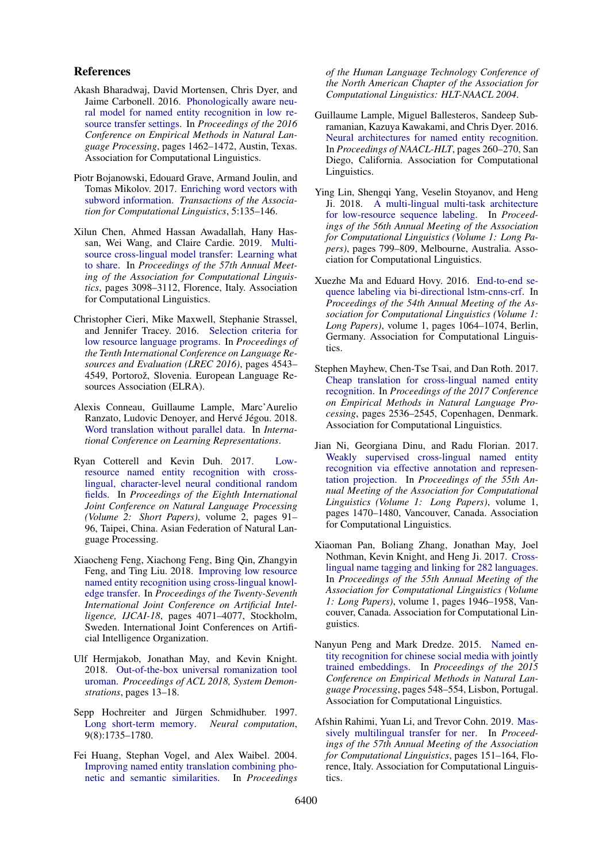#### References

- <span id="page-5-0"></span>Akash Bharadwaj, David Mortensen, Chris Dyer, and Jaime Carbonell. 2016. [Phonologically aware neu](https://www.aclweb.org/anthology/D16-1153)[ral model for named entity recognition in low re](https://www.aclweb.org/anthology/D16-1153)[source transfer settings.](https://www.aclweb.org/anthology/D16-1153) In *Proceedings of the 2016 Conference on Empirical Methods in Natural Language Processing*, pages 1462–1472, Austin, Texas. Association for Computational Linguistics.
- <span id="page-5-15"></span>Piotr Bojanowski, Edouard Grave, Armand Joulin, and Tomas Mikolov. 2017. [Enriching word vectors with](https://doi.org/10.1162/tacl_a_00051) [subword information.](https://doi.org/10.1162/tacl_a_00051) *Transactions of the Association for Computational Linguistics*, 5:135–146.
- <span id="page-5-7"></span>Xilun Chen, Ahmed Hassan Awadallah, Hany Hassan, Wei Wang, and Claire Cardie. 2019. [Multi](https://www.aclweb.org/anthology/P19-1299)[source cross-lingual model transfer: Learning what](https://www.aclweb.org/anthology/P19-1299) [to share.](https://www.aclweb.org/anthology/P19-1299) In *Proceedings of the 57th Annual Meeting of the Association for Computational Linguistics*, pages 3098–3112, Florence, Italy. Association for Computational Linguistics.
- <span id="page-5-17"></span>Christopher Cieri, Mike Maxwell, Stephanie Strassel, and Jennifer Tracey. 2016. [Selection criteria for](https://www.aclweb.org/anthology/L16-1720) [low resource language programs.](https://www.aclweb.org/anthology/L16-1720) In *Proceedings of the Tenth International Conference on Language Resources and Evaluation (LREC 2016)*, pages 4543– 4549, Portorož, Slovenia. European Language Resources Association (ELRA).
- <span id="page-5-9"></span>Alexis Conneau, Guillaume Lample, Marc'Aurelio Ranzato, Ludovic Denoyer, and Hervé Jégou. 2018. [Word translation without parallel data.](https://openreview.net/forum?id=H196sainb) In *International Conference on Learning Representations*.
- <span id="page-5-3"></span>Ryan Cotterell and Kevin Duh. 2017. [Low](https://www.aclweb.org/anthology/I17-2016)[resource named entity recognition with cross](https://www.aclweb.org/anthology/I17-2016)[lingual, character-level neural conditional random](https://www.aclweb.org/anthology/I17-2016) [fields.](https://www.aclweb.org/anthology/I17-2016) In *Proceedings of the Eighth International Joint Conference on Natural Language Processing (Volume 2: Short Papers)*, volume 2, pages 91– 96, Taipei, China. Asian Federation of Natural Language Processing.
- <span id="page-5-4"></span>Xiaocheng Feng, Xiachong Feng, Bing Qin, Zhangyin Feng, and Ting Liu. 2018. [Improving low resource](https://www.ijcai.org/proceedings/2018/0566.pdf) [named entity recognition using cross-lingual knowl](https://www.ijcai.org/proceedings/2018/0566.pdf)[edge transfer.](https://www.ijcai.org/proceedings/2018/0566.pdf) In *Proceedings of the Twenty-Seventh International Joint Conference on Artificial Intelligence, IJCAI-18*, pages 4071–4077, Stockholm, Sweden. International Joint Conferences on Artificial Intelligence Organization.
- <span id="page-5-10"></span>Ulf Hermjakob, Jonathan May, and Kevin Knight. 2018. [Out-of-the-box universal romanization tool](https://www.aclweb.org/anthology/P18-4003) [uroman.](https://www.aclweb.org/anthology/P18-4003) *Proceedings of ACL 2018, System Demonstrations*, pages 13–18.
- <span id="page-5-13"></span>Sepp Hochreiter and Jürgen Schmidhuber. 1997. [Long short-term memory.](https://www.mitpressjournals.org/doi/pdfplus/10.1162/neco.1997.9.8.1735) *Neural computation*, 9(8):1735–1780.
- <span id="page-5-14"></span>Fei Huang, Stephan Vogel, and Alex Waibel. 2004. [Improving named entity translation combining pho](https://www.aclweb.org/anthology/N04-1036)[netic and semantic similarities.](https://www.aclweb.org/anthology/N04-1036) In *Proceedings*

*of the Human Language Technology Conference of the North American Chapter of the Association for Computational Linguistics: HLT-NAACL 2004*.

- <span id="page-5-11"></span>Guillaume Lample, Miguel Ballesteros, Sandeep Subramanian, Kazuya Kawakami, and Chris Dyer. 2016. [Neural architectures for named entity recognition.](https://www.aclweb.org/anthology/N16-1030) In *Proceedings of NAACL-HLT*, pages 260–270, San Diego, California. Association for Computational Linguistics.
- <span id="page-5-6"></span>Ying Lin, Shengqi Yang, Veselin Stoyanov, and Heng Ji. 2018. [A multi-lingual multi-task architecture](https://doi.org/10.18653/v1/P18-1074) [for low-resource sequence labeling.](https://doi.org/10.18653/v1/P18-1074) In *Proceedings of the 56th Annual Meeting of the Association for Computational Linguistics (Volume 1: Long Papers)*, pages 799–809, Melbourne, Australia. Association for Computational Linguistics.
- <span id="page-5-12"></span>Xuezhe Ma and Eduard Hovy. 2016. [End-to-end se](https://www.aclweb.org/anthology/P16-1101)[quence labeling via bi-directional lstm-cnns-crf.](https://www.aclweb.org/anthology/P16-1101) In *Proceedings of the 54th Annual Meeting of the Association for Computational Linguistics (Volume 1: Long Papers)*, volume 1, pages 1064–1074, Berlin, Germany. Association for Computational Linguistics.
- <span id="page-5-2"></span>Stephen Mayhew, Chen-Tse Tsai, and Dan Roth. 2017. [Cheap translation for cross-lingual named entity](https://doi.org/10.18653/v1/D17-1269) [recognition.](https://doi.org/10.18653/v1/D17-1269) In *Proceedings of the 2017 Conference on Empirical Methods in Natural Language Processing*, pages 2536–2545, Copenhagen, Denmark. Association for Computational Linguistics.
- <span id="page-5-5"></span>Jian Ni, Georgiana Dinu, and Radu Florian. 2017. [Weakly supervised cross-lingual named entity](https://www.aclweb.org/anthology/P17-1135) [recognition via effective annotation and represen](https://www.aclweb.org/anthology/P17-1135)[tation projection.](https://www.aclweb.org/anthology/P17-1135) In *Proceedings of the 55th Annual Meeting of the Association for Computational Linguistics (Volume 1: Long Papers)*, volume 1, pages 1470–1480, Vancouver, Canada. Association for Computational Linguistics.
- <span id="page-5-1"></span>Xiaoman Pan, Boliang Zhang, Jonathan May, Joel Nothman, Kevin Knight, and Heng Ji. 2017. [Cross](https://www.aclweb.org/anthology/P17-1178)[lingual name tagging and linking for 282 languages.](https://www.aclweb.org/anthology/P17-1178) In *Proceedings of the 55th Annual Meeting of the Association for Computational Linguistics (Volume 1: Long Papers)*, volume 1, pages 1946–1958, Vancouver, Canada. Association for Computational Linguistics.
- <span id="page-5-16"></span>Nanyun Peng and Mark Dredze. 2015. [Named en](https://www.aclweb.org/anthology/D15-1064)[tity recognition for chinese social media with jointly](https://www.aclweb.org/anthology/D15-1064) [trained embeddings.](https://www.aclweb.org/anthology/D15-1064) In *Proceedings of the 2015 Conference on Empirical Methods in Natural Language Processing*, pages 548–554, Lisbon, Portugal. Association for Computational Linguistics.
- <span id="page-5-8"></span>Afshin Rahimi, Yuan Li, and Trevor Cohn. 2019. [Mas](https://www.aclweb.org/anthology/P19-1015)[sively multilingual transfer for ner.](https://www.aclweb.org/anthology/P19-1015) In *Proceedings of the 57th Annual Meeting of the Association for Computational Linguistics*, pages 151–164, Florence, Italy. Association for Computational Linguistics.